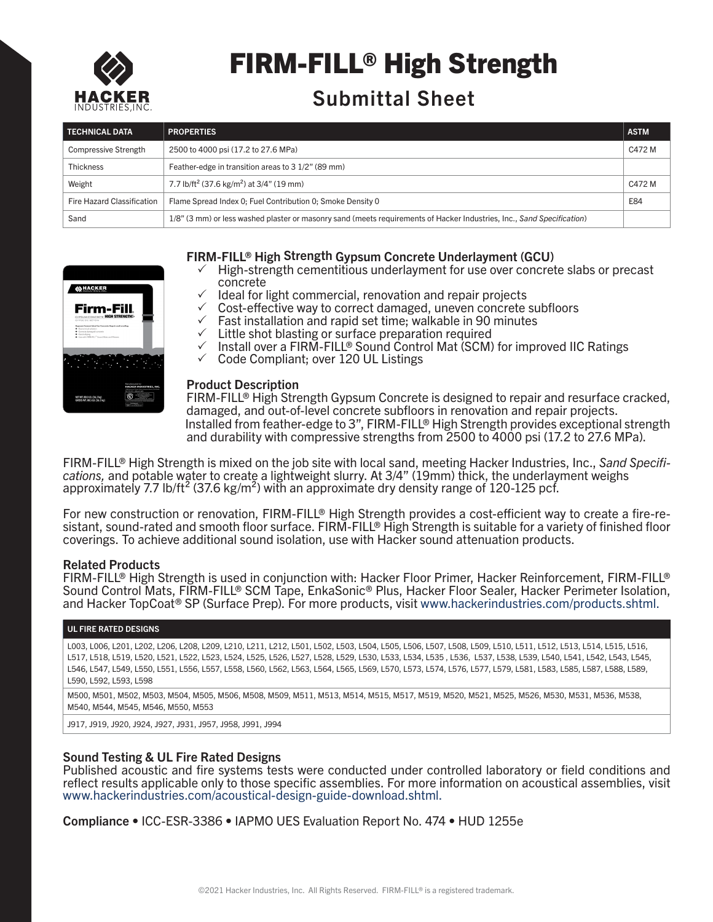

# FIRM-FILL® High Strength

# Submittal Sheet

| <b>TECHNICAL DATA</b>       | <b>PROPERTIES</b>                                                                                                      | <b>ASTM</b> |
|-----------------------------|------------------------------------------------------------------------------------------------------------------------|-------------|
| <b>Compressive Strength</b> | 2500 to 4000 psi (17.2 to 27.6 MPa)                                                                                    | C472 M      |
| <b>Thickness</b>            | Feather-edge in transition areas to 3 1/2" (89 mm)                                                                     |             |
| Weight                      | 7.7 lb/ft <sup>2</sup> (37.6 kg/m <sup>2</sup> ) at 3/4" (19 mm)                                                       | C472 M      |
| Fire Hazard Classification  | Flame Spread Index 0; Fuel Contribution 0; Smoke Density 0                                                             | E84         |
| Sand                        | 1/8" (3 mm) or less washed plaster or masonry sand (meets requirements of Hacker Industries, Inc., Sand Specification) |             |



# FIRM-FILL® High Strength Gypsum Concrete Underlayment (GCU)

- $\checkmark$  High-strength cementitious underlayment for use over concrete slabs or precast concrete
- $\checkmark$  Ideal for light commercial, renovation and repair projects
- $\checkmark$  Cost-effective way to correct damaged, uneven concrete subfloors
- $\checkmark$  Fast installation and rapid set time; walkable in 90 minutes
- $\checkmark$  Little shot blasting or surface preparation required
- $\checkmark$  Install over a FIRM-FILL® Sound Control Mat (SCM) for improved IIC Ratings
- $\checkmark$  Code Compliant; over 120 UL Listings

#### Product Description

Installed from feather-edge to 3", FIRM-FILL® High Strength provides exceptional strength and durability with compressive strengths from 2500 to 4000 psi (17.2 to 27.6 MPa). FIRM-FILL® High Strength Gypsum Concrete is designed to repair and resurface cracked, damaged, and out-of-level concrete subfloors in renovation and repair projects.

FIRM-FILL® High Strength is mixed on the job site with local sand, meeting Hacker Industries, Inc., *Sand Specifications,* and potable water to create a lightweight slurry. At 3/4" (19mm) thick, the underlayment weighs approximately 7.7 lb/ft<sup>2</sup> (37.6 kg/m<sup>2</sup>) with an approximate dry density range of 120-125 pcf.

For new construction or renovation, FIRM-FILL® High Strength provides a cost-efficient way to create a fire-re-<br>sistant, sound-rated and smooth floor surface. FIRM-FILL® High Strength is suitable for a variety of finished coverings. To achieve additional sound isolation, use with Hacker sound attenuation products.

## Related Products

FIRM-FILL® High Strength is used in conjunction with: Hacker Floor Primer, Hacker Reinforcement, FIRM-FILL® Sound Control Mats, FIRM-FILL® SCM Tape, EnkaSonic® Plus, Hacker Floor Sealer, Hacker Perimeter Isolation, and Hacker TopCoat® SP (Surface Prep). For more products, visit www.hackerindustries.com/products.shtml.

#### UL FIRE RATED DESIGNS

L003, L006, L201, L202, L206, L208, L209, L210, L211, L212, L501, L502, L503, L504, L505, L506, L507, L508, L509, L510, L511, L512, L513, L514, L515, L516, L517, L518, L519, L520, L521, L522, L523, L524, L525, L526, L527, L528, L529, L530, L533, L534, L535 , L536, L537, L538, L539, L540, L541, L542, L543, L545, L546, L547, L549, L550, L551, L556, L557, L558, L560, L562, L563, L564, L565, L569, L570, L573, L574, L576, L577, L579, L581, L583, L585, L587, L588, L589, L590, L592, L593, L598

M500, M501, M502, M503, M504, M505, M506, M508, M509, M511, M513, M514, M515, M517, M519, M520, M521, M525, M526, M530, M531, M536, M538, M540, M544, M545, M546, M550, M553

J917, J919, J920, J924, J927, J931, J957, J958, J991, J994

## Sound Testing & UL Fire Rated Designs

Published acoustic and fire systems tests were conducted under controlled laboratory or field conditions and reflect results applicable only to those specific assemblies. For more information on acoustical assemblies, visit www.hackerindustries.com/acoustical-design-guide-download.shtml.

Compliance • ICC-ESR-3386 • IAPMO UES Evaluation Report No. 474 • HUD 1255e